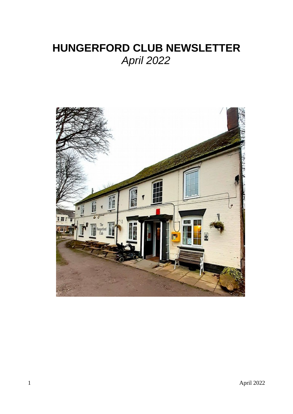# **HUNGERFORD CLUB NEWSLETTER** *April 2022*

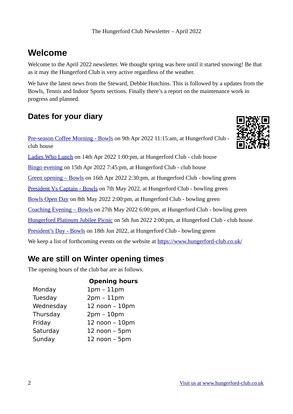## **Welcome**

Welcome to the April 2022 newsletter. We thought spring was here until it started snowing! Be that as it may the Hungerford Club is very active regardless of the weather.

We have the latest news from the Steward, Debbie Hutchins. This is followed by a updates from the Bowls, Tennis and Indoor Sports sections. Finally there's a report on the maintenance work in progress and planned.

## **Dates for your diary**

[Pre-season Coffee Morning - Bowls](https://www.hungerford-club.co.uk/?event=bowls-section-pre-season-coffee-morning) on 9th Apr 2022 11:15:am, at Hungerford Club club house

[Ladies Who Lunch](https://www.hungerford-club.co.uk/?event=ladies-who-lunch-5) on 14th Apr 2022 1:00:pm, at Hungerford Club - club house [Bingo evening](https://www.hungerford-club.co.uk/?event=bingo-evening) on 15th Apr 2022 7:45:pm, at Hungerford Club - club house [Green opening – Bowls](https://www.hungerford-club.co.uk/?event=green-opening-bowls) on 16th Apr 2022 2:30:pm, at Hungerford Club - bowling green [President Vs Captain - Bowls](https://www.hungerford-club.co.uk/?event=presidents-day) on 7th May 2022, at Hungerford Club - bowling green [Bowls Open Day](https://www.hungerford-club.co.uk/?event=bowls-open-day) on 8th May 2022 2:00:pm, at Hungerford Club - bowling green [Coaching Evening – Bowls](https://www.hungerford-club.co.uk/?event=coaching-evening-bowls) on 27th May 2022 6:00:pm, at Hungerford Club - bowling green [Hungerford Platinum Jubilee Picnic](https://www.hungerford-club.co.uk/?event=hungerford-platinum-jubilee-picnic) on 5th Jun 2022 2:00:pm, at Hungerford Club - club house [President's Day - Bowls](https://www.hungerford-club.co.uk/?event=presidents-day-2) on 18th Jun 2022, at Hungerford Club - bowling green We keep a list of forthcoming events on the website at<https://www.hungerford-club.co.uk/>

## **We are still on Winter opening times**

The opening hours of the club bar are as follows.

|           | <b>Opening hours</b> |
|-----------|----------------------|
| Monday    | $1pm - 11pm$         |
| Tuesday   | $2pm - 11pm$         |
| Wednesday | 12 noon - 10pm       |
| Thursday  | $2pm - 10pm$         |
| Friday    | 12 noon - 10pm       |
| Saturday  | $12$ noon $-$ 5pm    |
| Sunday    | 12 noon - 5pm        |
|           |                      |

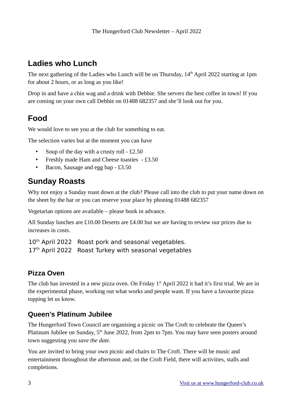### **Ladies who Lunch**

The next gathering of the Ladies who Lunch will be on Thursday,  $14<sup>th</sup>$  April 2022 starting at 1pm for about 2 hours, or as long as you like!

Drop in and have a chin wag and a drink with Debbie. She servers the best coffee in town! If you are coming on your own call Debbie on 01488 682357 and she'll look out for you.

### **Food**

We would love to see you at the club for something to eat.

The selection varies but at the moment you can have

- Soup of the day with a crusty roll £2.50
- Freshly made Ham and Cheese toasties £3.50
- Bacon, Sausage and egg bap £3.50

### **Sunday Roasts**

Why not enjoy a Sunday roast down at the club? Please call into the club to put your name down on the sheet by the bar or you can reserve your place by phoning 01488 682357

Vegetarian options are available – please book in advance.

All Sunday lunches are £10.00 Deserts are £4.00 but we are having to review our prices due to increases in costs.

10<sup>th</sup> April 2022 Roast pork and seasonal vegetables. 17<sup>th</sup> April 2022 Roast Turkey with seasonal vegetables

#### **Pizza Oven**

The club has invested in a new pizza oven. On Friday 1<sup>st</sup> April 2022 it had it's first trial. We are in the experimental phase, working out what works and people want. If you have a favourite pizza topping let us know.

#### **Queen's Platinum Jubilee**

The Hungerford Town Council are organising a picnic on The Croft to celebrate the Queen's Platinum Jubilee on Sunday, 5<sup>th</sup> June 2022, from 2pm to 7pm. You may have seen posters around town suggesting you *save the date*.

You are invited to bring your own picnic and chairs to The Croft. There will be music and entertainment throughout the afternoon and, on the Croft Field, there will activities, stalls and completions.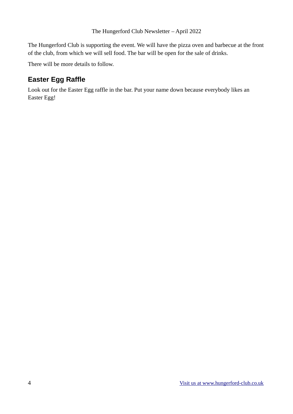#### The Hungerford Club Newsletter – April 2022

The Hungerford Club is supporting the event. We will have the pizza oven and barbecue at the front of the club, from which we will sell food. The bar will be open for the sale of drinks.

There will be more details to follow.

#### **Easter Egg Raffle**

Look out for the Easter Egg raffle in the bar. Put your name down because everybody likes an Easter Egg!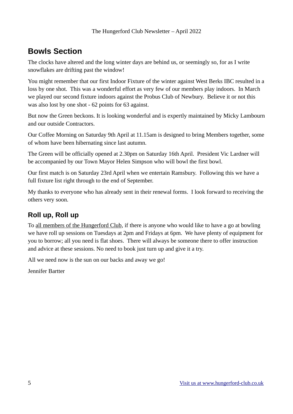## **Bowls Section**

The clocks have altered and the long winter days are behind us, or seemingly so, for as I write snowflakes are drifting past the window!

You might remember that our first Indoor Fixture of the winter against West Berks IBC resulted in a loss by one shot. This was a wonderful effort as very few of our members play indoors. In March we played our second fixture indoors against the Probus Club of Newbury. Believe it or not this was also lost by one shot - 62 points for 63 against.

But now the Green beckons. It is looking wonderful and is expertly maintained by Micky Lambourn and our outside Contractors.

Our Coffee Morning on Saturday 9th April at 11.15am is designed to bring Members together, some of whom have been hibernating since last autumn.

The Green will be officially opened at 2.30pm on Saturday 16th April. President Vic Lardner will be accompanied by our Town Mayor Helen Simpson who will bowl the first bowl.

Our first match is on Saturday 23rd April when we entertain Ramsbury. Following this we have a full fixture list right through to the end of September.

My thanks to everyone who has already sent in their renewal forms. I look forward to receiving the others very soon.

### **Roll up, Roll up**

To all members of the Hungerford Club, if there is anyone who would like to have a go at bowling we have roll up sessions on Tuesdays at 2pm and Fridays at 6pm. We have plenty of equipment for you to borrow; all you need is flat shoes. There will always be someone there to offer instruction and advice at these sessions. No need to book just turn up and give it a try.

All we need now is the sun on our backs and away we go!

Jennifer Bartter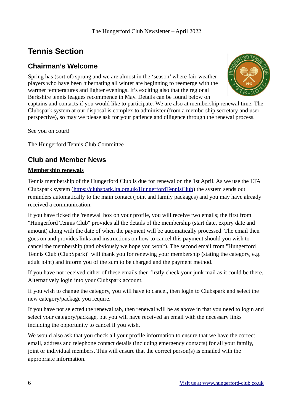## **Tennis Section**

#### **Chairman's Welcome**

Spring has (sort of) sprung and we are almost in the 'season' where fair-weather players who have been hibernating all winter are beginning to reemerge with the warmer temperatures and lighter evenings. It's exciting also that the regional Berkshire tennis leagues recommence in May. Details can be found below on



captains and contacts if you would like to participate. We are also at membership renewal time. The Clubspark system at our disposal is complex to administer (from a membership secretary and user perspective), so may we please ask for your patience and diligence through the renewal process.

See you on court!

The Hungerford Tennis Club Committee

### **Club and Member News**

#### **Membership renewals**

Tennis membership of the Hungerford Club is due for renewal on the 1st April. As we use the LTA Clubspark system [\(https://clubspark.lta.org.uk/HungerfordTennisClub\)](https://clubspark.lta.org.uk/HungerfordTennisClub) the system sends out reminders automatically to the main contact (joint and family packages) and you may have already received a communication.

If you have ticked the 'renewal' box on your profile, you will receive two emails; the first from "Hungerford Tennis Club" provides all the details of the membership (start date, expiry date and amount) along with the date of when the payment will be automatically processed. The email then goes on and provides links and instructions on how to cancel this payment should you wish to cancel the membership (and obviously we hope you won't). The second email from "Hungerford Tennis Club (ClubSpark)" will thank you for renewing your membership (stating the category, e.g. adult joint) and inform you of the sum to be charged and the payment method.

If you have not received either of these emails then firstly check your junk mail as it could be there. Alternatively login into your Clubspark account.

If you wish to change the category, you will have to cancel, then login to Clubspark and select the new category/package you require.

If you have not selected the renewal tab, then renewal will be as above in that you need to login and select your category/package, but you will have received an email with the necessary links including the opportunity to cancel if you wish.

We would also ask that you check all your profile information to ensure that we have the correct email, address and telephone contact details (including emergency contacts) for all your family, joint or individual members. This will ensure that the correct person(s) is emailed with the appropriate information.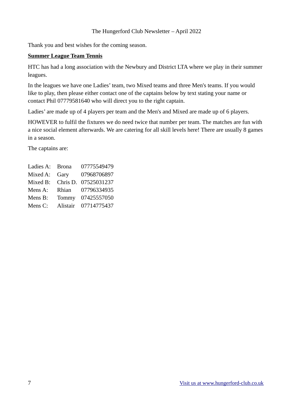Thank you and best wishes for the coming season.

#### **Summer League Team Tennis**

HTC has had a long association with the Newbury and District LTA where we play in their summer leagues.

In the leagues we have one Ladies' team, two Mixed teams and three Men's teams. If you would like to play, then please either contact one of the captains below by text stating your name or contact Phil 07779581640 who will direct you to the right captain.

Ladies' are made up of 4 players per team and the Men's and Mixed are made up of 6 players.

HOWEVER to fulfil the fixtures we do need twice that number per team. The matches are fun with a nice social element afterwards. We are catering for all skill levels here! There are usually 8 games in a season.

The captains are:

| <b>Brona</b> | 07775549479 |
|--------------|-------------|
| Gary         | 07968706897 |
| Chris D.     | 07525031237 |
| Rhian        | 07796334935 |
| Tommy        | 07425557050 |
| Alistair     | 07714775437 |
|              |             |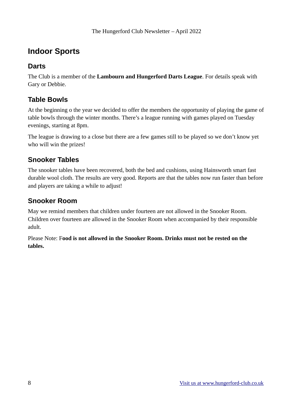### **Indoor Sports**

#### **Darts**

The Club is a member of the **Lambourn and Hungerford Darts League**. For details speak with Gary or Debbie.

#### **Table Bowls**

At the beginning o the year we decided to offer the members the opportunity of playing the game of table bowls through the winter months. There's a league running with games played on Tuesday evenings, starting at 8pm.

The league is drawing to a close but there are a few games still to be played so we don't know yet who will win the prizes!

#### **Snooker Tables**

The snooker tables have been recovered, both the bed and cushions, using Hainsworth smart fast durable wool cloth. The results are very good. Reports are that the tables now run faster than before and players are taking a while to adjust!

#### **Snooker Room**

May we remind members that children under fourteen are not allowed in the Snooker Room. Children over fourteen are allowed in the Snooker Room when accompanied by their responsible adult.

Please Note: F**ood is not allowed in the Snooker Room. Drinks must not be rested on the tables.**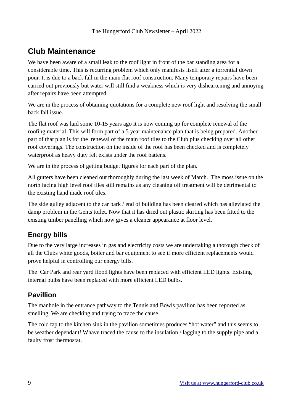### **Club Maintenance**

We have been aware of a small leak to the roof light in front of the bar standing area for a considerable time. This is recurring problem which only manifests itself after a torrential down pour. It is due to a back fall in the main flat roof construction. Many temporary repairs have been carried out previously but water will still find a weakness which is very disheartening and annoying after repairs have been attempted.

We are in the process of obtaining quotations for a complete new roof light and resolving the small back fall issue.

The flat roof was laid some 10-15 years ago it is now coming up for complete renewal of the roofing material. This will form part of a 5 year maintenance plan that is being prepared. Another part of that plan is for the renewal of the main roof tiles to the Club plus checking over all other roof coverings. The construction on the inside of the roof has been checked and is completely waterproof as heavy duty felt exists under the roof battens.

We are in the process of getting budget figures for each part of the plan.

All gutters have been cleaned out thoroughly during the last week of March. The moss issue on the north facing high level roof tiles still remains as any cleaning off treatment will be detrimental to the existing hand made roof tiles.

The side gulley adjacent to the car park / end of building has been cleared which has alleviated the damp problem in the Gents toilet. Now that it has dried out plastic skirting has been fitted to the existing timber panelling which now gives a cleaner appearance at floor level.

#### **Energy bills**

Due to the very large increases in gas and electricity costs we are undertaking a thorough check of all the Clubs white goods, boiler and bar equipment to see if more efficient replacements would prove helpful in controlling our energy bills.

The Car Park and rear yard flood lights have been replaced with efficient LED lights. Existing internal bulbs have been replaced with more efficient LED bulbs.

#### **Pavillion**

The manhole in the entrance pathway to the Tennis and Bowls pavilion has been reported as smelling. We are checking and trying to trace the cause.

The cold tap to the kitchen sink in the pavilion sometimes produces "hot water" and this seems to be weather dependant! Whave traced the cause to the insulation / lagging to the supply pipe and a faulty frost thermostat.